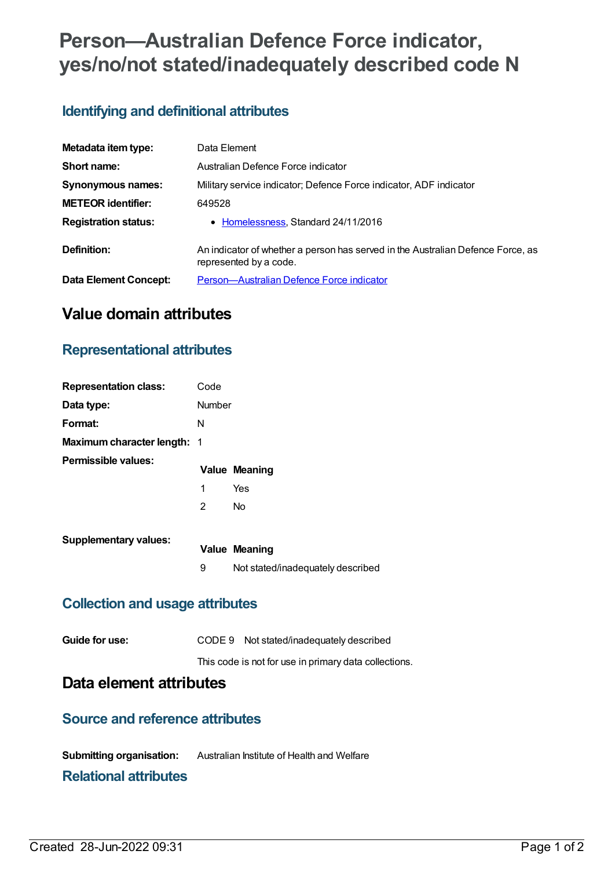# **Person—Australian Defence Force indicator, yes/no/not stated/inadequately described code N**

# **Identifying and definitional attributes**

| Metadata item type:          | Data Element                                                                                              |  |  |  |  |  |  |
|------------------------------|-----------------------------------------------------------------------------------------------------------|--|--|--|--|--|--|
| Short name:                  | Australian Defence Force indicator                                                                        |  |  |  |  |  |  |
| <b>Synonymous names:</b>     | Military service indicator; Defence Force indicator, ADF indicator                                        |  |  |  |  |  |  |
| <b>METEOR identifier:</b>    | 649528                                                                                                    |  |  |  |  |  |  |
| <b>Registration status:</b>  | • Homelessness, Standard 24/11/2016                                                                       |  |  |  |  |  |  |
| Definition:                  | An indicator of whether a person has served in the Australian Defence Force, as<br>represented by a code. |  |  |  |  |  |  |
| <b>Data Element Concept:</b> | Person-Australian Defence Force indicator                                                                 |  |  |  |  |  |  |

# **Value domain attributes**

# **Representational attributes**

| <b>Representation class:</b> | Code   |                                   |  |  |  |  |  |
|------------------------------|--------|-----------------------------------|--|--|--|--|--|
| Data type:                   | Number |                                   |  |  |  |  |  |
| Format:                      | N      |                                   |  |  |  |  |  |
| Maximum character length: 1  |        |                                   |  |  |  |  |  |
| Permissible values:          |        | <b>Value Meaning</b>              |  |  |  |  |  |
|                              | 1      | Yes                               |  |  |  |  |  |
|                              | 2      | N <sub>0</sub>                    |  |  |  |  |  |
| <b>Supplementary values:</b> |        |                                   |  |  |  |  |  |
|                              |        | <b>Value Meaning</b>              |  |  |  |  |  |
|                              | 9      | Not stated/inadequately described |  |  |  |  |  |
|                              |        |                                   |  |  |  |  |  |

## **Collection and usage attributes**

| Guide for use: |  | CODE 9 Not stated/inadequately described |  |  |  |  |  |  |  |
|----------------|--|------------------------------------------|--|--|--|--|--|--|--|
|                |  |                                          |  |  |  |  |  |  |  |

#### This code is not for use in primary data collections.

## **Data element attributes**

### **Source and reference attributes**

**Submitting organisation:** Australian Institute of Health and Welfare

### **Relational attributes**